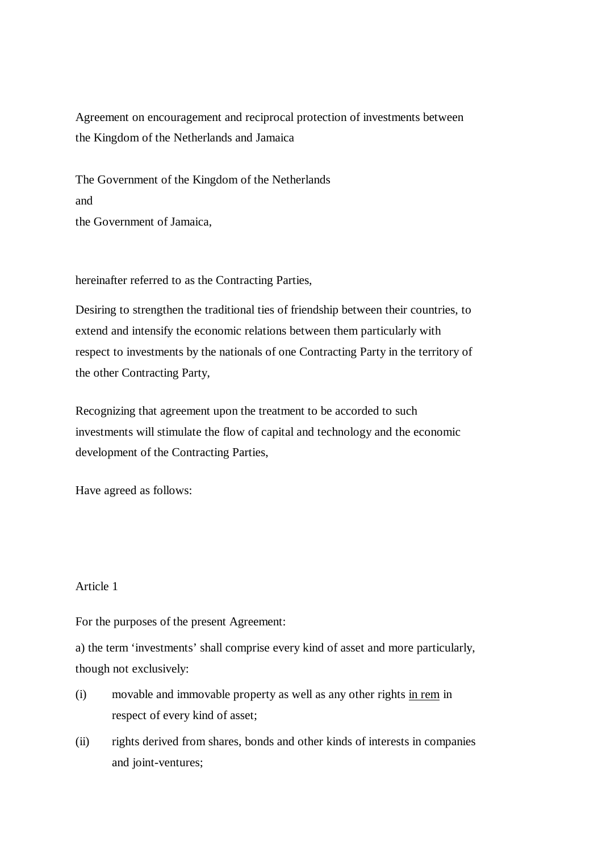Agreement on encouragement and reciprocal protection of investments between the Kingdom of the Netherlands and Jamaica

The Government of the Kingdom of the Netherlands and the Government of Jamaica,

hereinafter referred to as the Contracting Parties,

Desiring to strengthen the traditional ties of friendship between their countries, to extend and intensify the economic relations between them particularly with respect to investments by the nationals of one Contracting Party in the territory of the other Contracting Party,

Recognizing that agreement upon the treatment to be accorded to such investments will stimulate the flow of capital and technology and the economic development of the Contracting Parties,

Have agreed as follows:

# Article 1

For the purposes of the present Agreement:

a) the term 'investments' shall comprise every kind of asset and more particularly, though not exclusively:

- (i) movable and immovable property as well as any other rights in rem in respect of every kind of asset;
- (ii) rights derived from shares, bonds and other kinds of interests in companies and joint-ventures;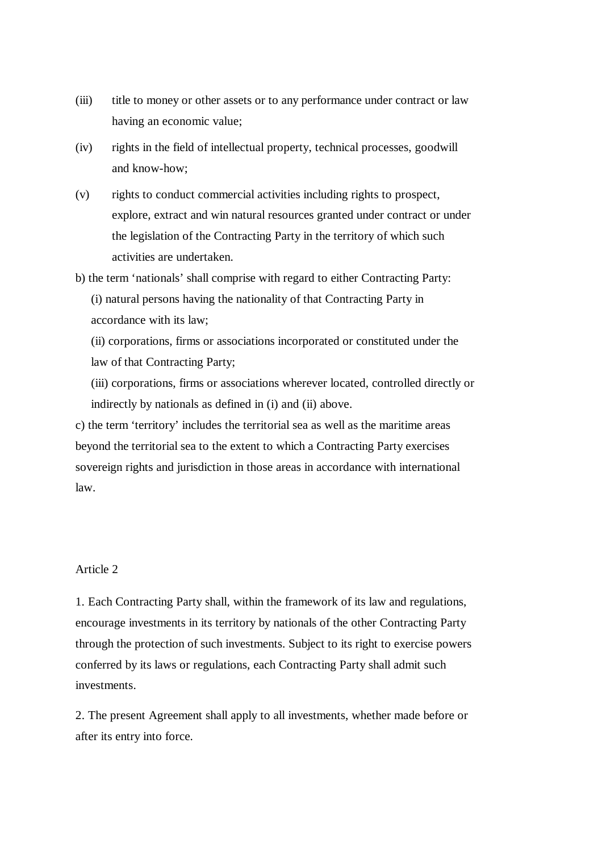- (iii) title to money or other assets or to any performance under contract or law having an economic value;
- (iv) rights in the field of intellectual property, technical processes, goodwill and know-how;
- (v) rights to conduct commercial activities including rights to prospect, explore, extract and win natural resources granted under contract or under the legislation of the Contracting Party in the territory of which such activities are undertaken.
- b) the term 'nationals' shall comprise with regard to either Contracting Party: (i) natural persons having the nationality of that Contracting Party in accordance with its law;
	- (ii) corporations, firms or associations incorporated or constituted under the law of that Contracting Party;
	- (iii) corporations, firms or associations wherever located, controlled directly or indirectly by nationals as defined in (i) and (ii) above.

c) the term 'territory' includes the territorial sea as well as the maritime areas beyond the territorial sea to the extent to which a Contracting Party exercises sovereign rights and jurisdiction in those areas in accordance with international law.

## Article 2

1. Each Contracting Party shall, within the framework of its law and regulations, encourage investments in its territory by nationals of the other Contracting Party through the protection of such investments. Subject to its right to exercise powers conferred by its laws or regulations, each Contracting Party shall admit such investments.

2. The present Agreement shall apply to all investments, whether made before or after its entry into force.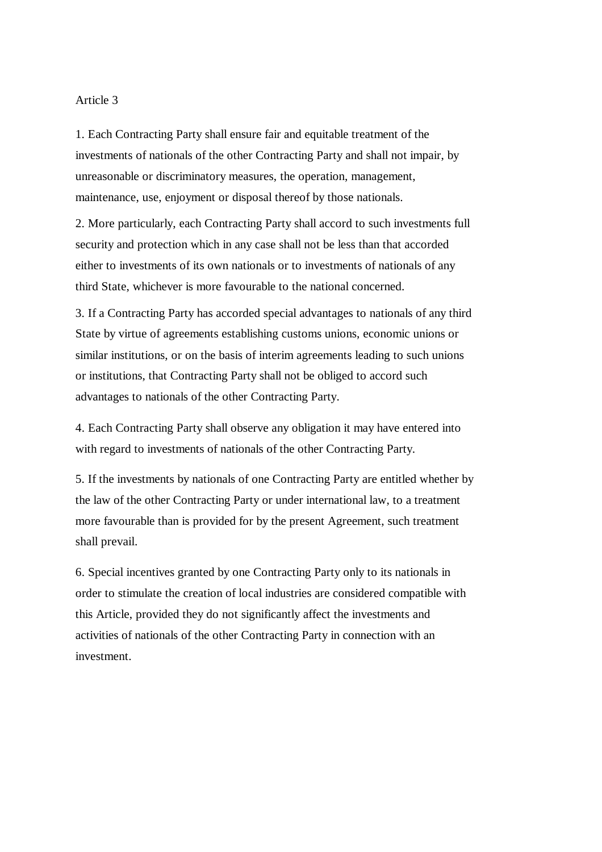1. Each Contracting Party shall ensure fair and equitable treatment of the investments of nationals of the other Contracting Party and shall not impair, by unreasonable or discriminatory measures, the operation, management, maintenance, use, enjoyment or disposal thereof by those nationals.

2. More particularly, each Contracting Party shall accord to such investments full security and protection which in any case shall not be less than that accorded either to investments of its own nationals or to investments of nationals of any third State, whichever is more favourable to the national concerned.

3. If a Contracting Party has accorded special advantages to nationals of any third State by virtue of agreements establishing customs unions, economic unions or similar institutions, or on the basis of interim agreements leading to such unions or institutions, that Contracting Party shall not be obliged to accord such advantages to nationals of the other Contracting Party.

4. Each Contracting Party shall observe any obligation it may have entered into with regard to investments of nationals of the other Contracting Party.

5. If the investments by nationals of one Contracting Party are entitled whether by the law of the other Contracting Party or under international law, to a treatment more favourable than is provided for by the present Agreement, such treatment shall prevail.

6. Special incentives granted by one Contracting Party only to its nationals in order to stimulate the creation of local industries are considered compatible with this Article, provided they do not significantly affect the investments and activities of nationals of the other Contracting Party in connection with an investment.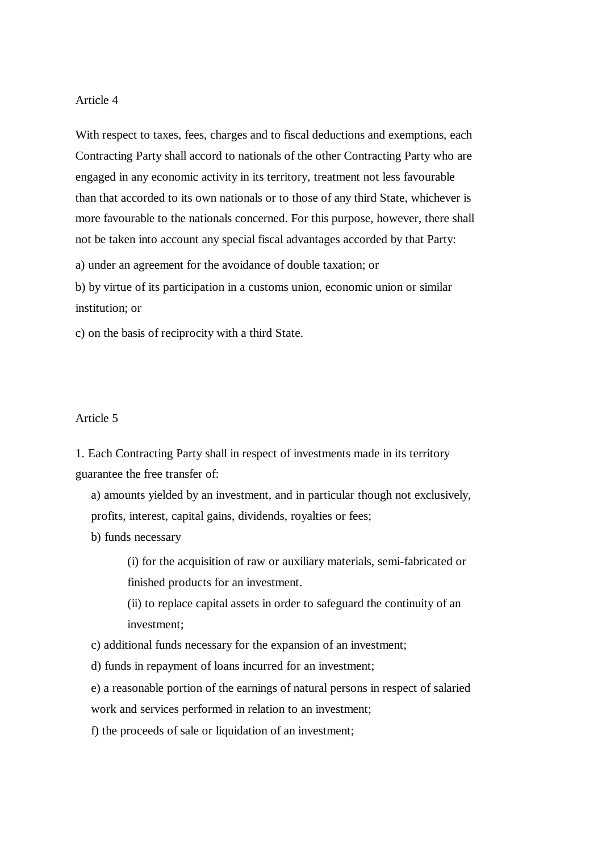With respect to taxes, fees, charges and to fiscal deductions and exemptions, each Contracting Party shall accord to nationals of the other Contracting Party who are engaged in any economic activity in its territory, treatment not less favourable than that accorded to its own nationals or to those of any third State, whichever is more favourable to the nationals concerned. For this purpose, however, there shall not be taken into account any special fiscal advantages accorded by that Party:

a) under an agreement for the avoidance of double taxation; or

b) by virtue of its participation in a customs union, economic union or similar institution; or

c) on the basis of reciprocity with a third State.

## Article 5

1. Each Contracting Party shall in respect of investments made in its territory guarantee the free transfer of:

a) amounts yielded by an investment, and in particular though not exclusively, profits, interest, capital gains, dividends, royalties or fees;

b) funds necessary

(i) for the acquisition of raw or auxiliary materials, semi-fabricated or finished products for an investment.

(ii) to replace capital assets in order to safeguard the continuity of an investment;

c) additional funds necessary for the expansion of an investment;

d) funds in repayment of loans incurred for an investment;

e) a reasonable portion of the earnings of natural persons in respect of salaried work and services performed in relation to an investment;

f) the proceeds of sale or liquidation of an investment;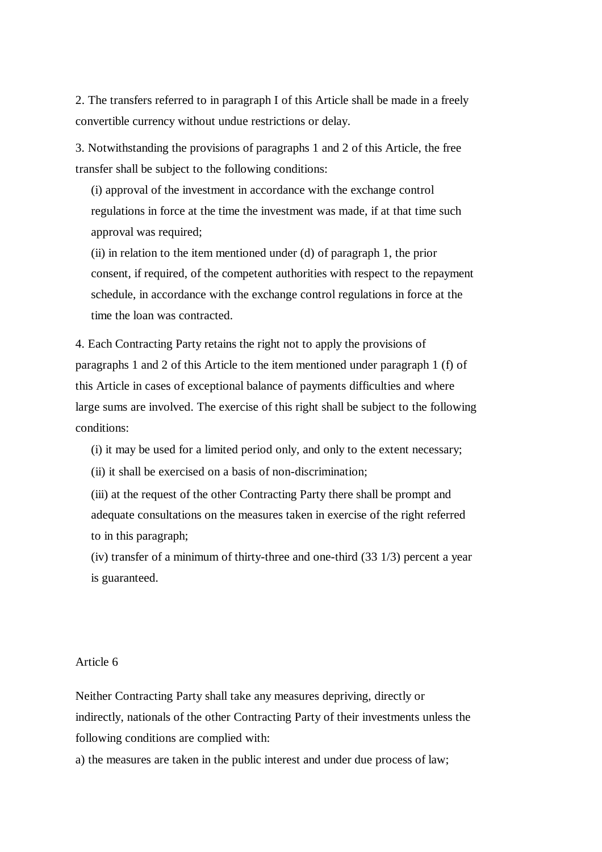2. The transfers referred to in paragraph I of this Article shall be made in a freely convertible currency without undue restrictions or delay.

3. Notwithstanding the provisions of paragraphs 1 and 2 of this Article, the free transfer shall be subject to the following conditions:

(i) approval of the investment in accordance with the exchange control regulations in force at the time the investment was made, if at that time such approval was required;

(ii) in relation to the item mentioned under (d) of paragraph 1, the prior consent, if required, of the competent authorities with respect to the repayment schedule, in accordance with the exchange control regulations in force at the time the loan was contracted.

4. Each Contracting Party retains the right not to apply the provisions of paragraphs 1 and 2 of this Article to the item mentioned under paragraph 1 (f) of this Article in cases of exceptional balance of payments difficulties and where large sums are involved. The exercise of this right shall be subject to the following conditions:

(i) it may be used for a limited period only, and only to the extent necessary;

(ii) it shall be exercised on a basis of non-discrimination;

(iii) at the request of the other Contracting Party there shall be prompt and adequate consultations on the measures taken in exercise of the right referred to in this paragraph;

(iv) transfer of a minimum of thirty-three and one-third (33 1/3) percent a year is guaranteed.

### Article 6

Neither Contracting Party shall take any measures depriving, directly or indirectly, nationals of the other Contracting Party of their investments unless the following conditions are complied with:

a) the measures are taken in the public interest and under due process of law;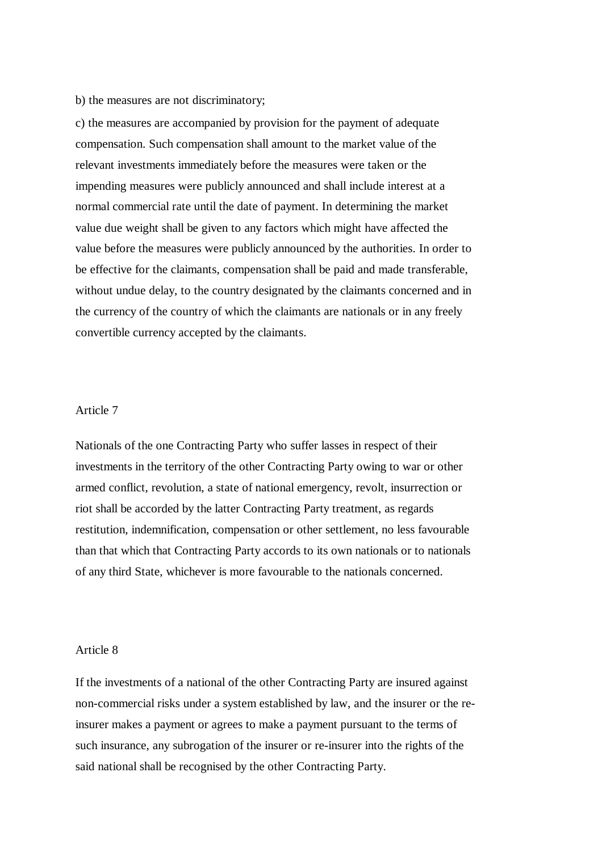#### b) the measures are not discriminatory;

c) the measures are accompanied by provision for the payment of adequate compensation. Such compensation shall amount to the market value of the relevant investments immediately before the measures were taken or the impending measures were publicly announced and shall include interest at a normal commercial rate until the date of payment. In determining the market value due weight shall be given to any factors which might have affected the value before the measures were publicly announced by the authorities. In order to be effective for the claimants, compensation shall be paid and made transferable, without undue delay, to the country designated by the claimants concerned and in the currency of the country of which the claimants are nationals or in any freely convertible currency accepted by the claimants.

### Article 7

Nationals of the one Contracting Party who suffer lasses in respect of their investments in the territory of the other Contracting Party owing to war or other armed conflict, revolution, a state of national emergency, revolt, insurrection or riot shall be accorded by the latter Contracting Party treatment, as regards restitution, indemnification, compensation or other settlement, no less favourable than that which that Contracting Party accords to its own nationals or to nationals of any third State, whichever is more favourable to the nationals concerned.

#### Article 8

If the investments of a national of the other Contracting Party are insured against non-commercial risks under a system established by law, and the insurer or the reinsurer makes a payment or agrees to make a payment pursuant to the terms of such insurance, any subrogation of the insurer or re-insurer into the rights of the said national shall be recognised by the other Contracting Party.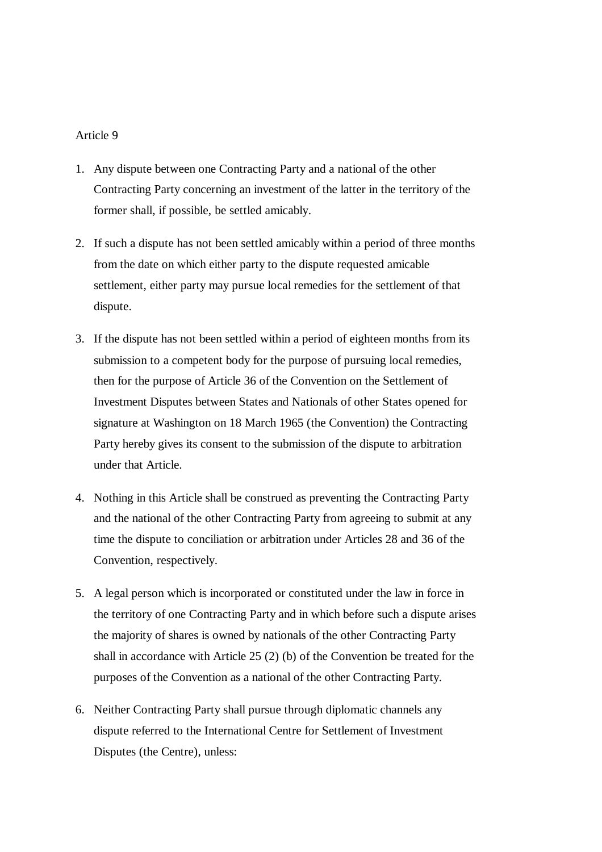- 1. Any dispute between one Contracting Party and a national of the other Contracting Party concerning an investment of the latter in the territory of the former shall, if possible, be settled amicably.
- 2. If such a dispute has not been settled amicably within a period of three months from the date on which either party to the dispute requested amicable settlement, either party may pursue local remedies for the settlement of that dispute.
- 3. If the dispute has not been settled within a period of eighteen months from its submission to a competent body for the purpose of pursuing local remedies, then for the purpose of Article 36 of the Convention on the Settlement of Investment Disputes between States and Nationals of other States opened for signature at Washington on 18 March 1965 (the Convention) the Contracting Party hereby gives its consent to the submission of the dispute to arbitration under that Article.
- 4. Nothing in this Article shall be construed as preventing the Contracting Party and the national of the other Contracting Party from agreeing to submit at any time the dispute to conciliation or arbitration under Articles 28 and 36 of the Convention, respectively.
- 5. A legal person which is incorporated or constituted under the law in force in the territory of one Contracting Party and in which before such a dispute arises the majority of shares is owned by nationals of the other Contracting Party shall in accordance with Article 25 (2) (b) of the Convention be treated for the purposes of the Convention as a national of the other Contracting Party.
- 6. Neither Contracting Party shall pursue through diplomatic channels any dispute referred to the International Centre for Settlement of Investment Disputes (the Centre), unless: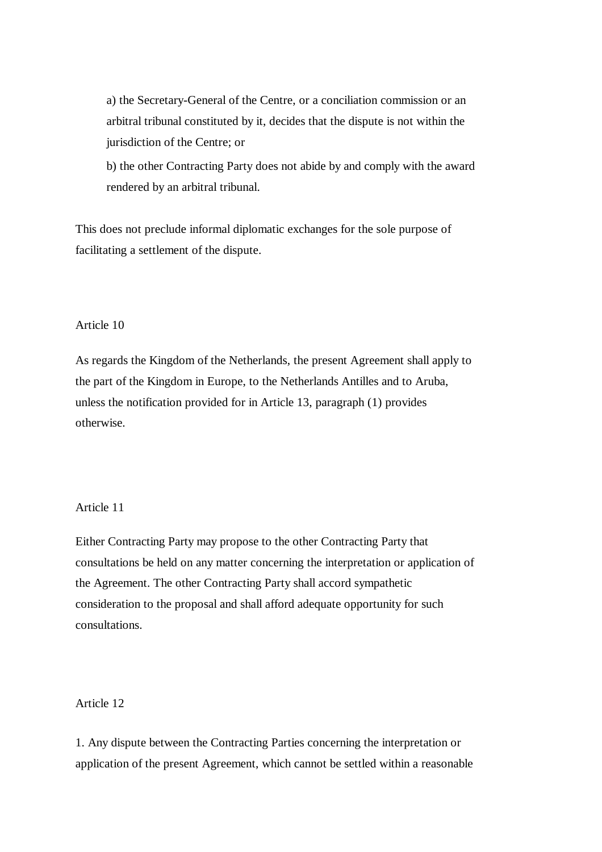a) the Secretary-General of the Centre, or a conciliation commission or an arbitral tribunal constituted by it, decides that the dispute is not within the jurisdiction of the Centre; or

b) the other Contracting Party does not abide by and comply with the award rendered by an arbitral tribunal.

This does not preclude informal diplomatic exchanges for the sole purpose of facilitating a settlement of the dispute.

# Article 10

As regards the Kingdom of the Netherlands, the present Agreement shall apply to the part of the Kingdom in Europe, to the Netherlands Antilles and to Aruba, unless the notification provided for in Article 13, paragraph (1) provides otherwise.

### Article 11

Either Contracting Party may propose to the other Contracting Party that consultations be held on any matter concerning the interpretation or application of the Agreement. The other Contracting Party shall accord sympathetic consideration to the proposal and shall afford adequate opportunity for such consultations.

# Article 12

1. Any dispute between the Contracting Parties concerning the interpretation or application of the present Agreement, which cannot be settled within a reasonable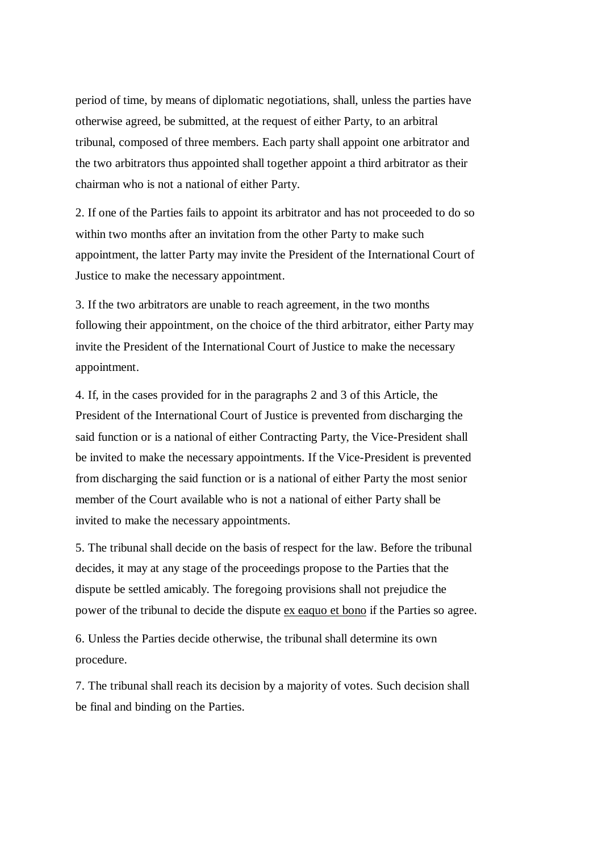period of time, by means of diplomatic negotiations, shall, unless the parties have otherwise agreed, be submitted, at the request of either Party, to an arbitral tribunal, composed of three members. Each party shall appoint one arbitrator and the two arbitrators thus appointed shall together appoint a third arbitrator as their chairman who is not a national of either Party.

2. If one of the Parties fails to appoint its arbitrator and has not proceeded to do so within two months after an invitation from the other Party to make such appointment, the latter Party may invite the President of the International Court of Justice to make the necessary appointment.

3. If the two arbitrators are unable to reach agreement, in the two months following their appointment, on the choice of the third arbitrator, either Party may invite the President of the International Court of Justice to make the necessary appointment.

4. If, in the cases provided for in the paragraphs 2 and 3 of this Article, the President of the International Court of Justice is prevented from discharging the said function or is a national of either Contracting Party, the Vice-President shall be invited to make the necessary appointments. If the Vice-President is prevented from discharging the said function or is a national of either Party the most senior member of the Court available who is not a national of either Party shall be invited to make the necessary appointments.

5. The tribunal shall decide on the basis of respect for the law. Before the tribunal decides, it may at any stage of the proceedings propose to the Parties that the dispute be settled amicably. The foregoing provisions shall not prejudice the power of the tribunal to decide the dispute ex eaquo et bono if the Parties so agree.

6. Unless the Parties decide otherwise, the tribunal shall determine its own procedure.

7. The tribunal shall reach its decision by a majority of votes. Such decision shall be final and binding on the Parties.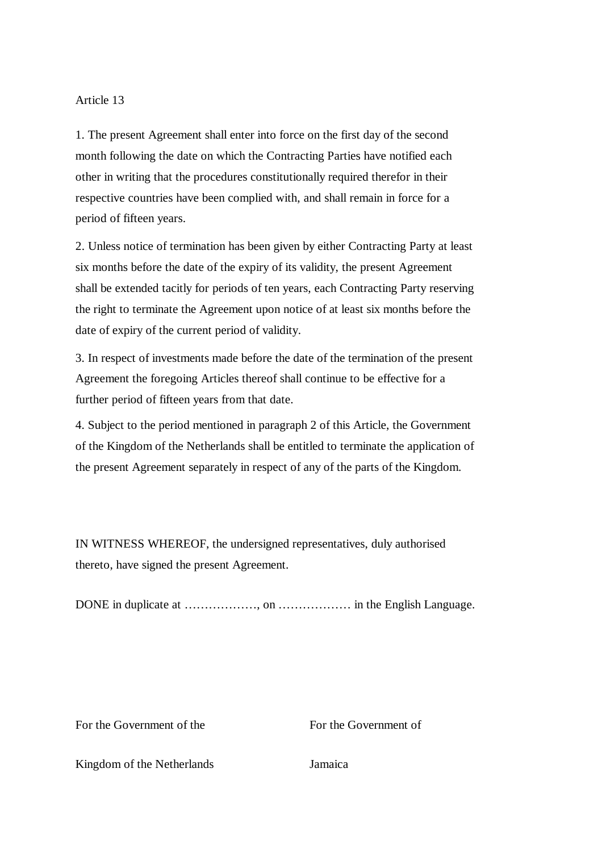1. The present Agreement shall enter into force on the first day of the second month following the date on which the Contracting Parties have notified each other in writing that the procedures constitutionally required therefor in their respective countries have been complied with, and shall remain in force for a period of fifteen years.

2. Unless notice of termination has been given by either Contracting Party at least six months before the date of the expiry of its validity, the present Agreement shall be extended tacitly for periods of ten years, each Contracting Party reserving the right to terminate the Agreement upon notice of at least six months before the date of expiry of the current period of validity.

3. In respect of investments made before the date of the termination of the present Agreement the foregoing Articles thereof shall continue to be effective for a further period of fifteen years from that date.

4. Subject to the period mentioned in paragraph 2 of this Article, the Government of the Kingdom of the Netherlands shall be entitled to terminate the application of the present Agreement separately in respect of any of the parts of the Kingdom.

IN WITNESS WHEREOF, the undersigned representatives, duly authorised thereto, have signed the present Agreement.

DONE in duplicate at ……………… , on ……………… in the English Language.

For the Government of the Forthe Government of

Kingdom of the Netherlands Jamaica